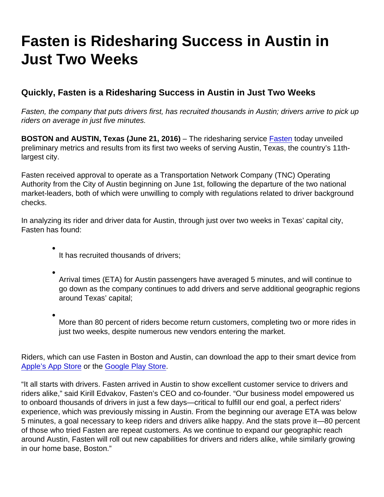## Fasten is Ridesharing Success in Austin in Just Two Weeks

Quickly, Fasten is a Ridesharing Success in Austin in Just Two Weeks

Fasten, the company that puts drivers first, has recruited thousands in Austin; drivers arrive to pick up riders on average in just five minutes.

BOSTON and AUSTIN, Texas (June 21, 2016) – The ridesharing service [Fasten](http://fasten.com) today unveiled preliminary metrics and results from its first two weeks of serving Austin, Texas, the country's 11thlargest city.

Fasten received approval to operate as a Transportation Network Company (TNC) Operating Authority from the City of Austin beginning on June 1st, following the departure of the two national market-leaders, both of which were unwilling to comply with regulations related to driver background checks.

In analyzing its rider and driver data for Austin, through just over two weeks in Texas' capital city, Fasten has found:

- It has recruited thousands of drivers;
- Arrival times (ETA) for Austin passengers have averaged 5 minutes, and will continue to go down as the company continues to add drivers and serve additional geographic regions around Texas' capital;
- More than 80 percent of riders become return customers, completing two or more rides in just two weeks, despite numerous new vendors entering the market.

Riders, which can use Fasten in Boston and Austin, can download the app to their smart device from [Apple's App Store](https://itunes.apple.com/us/app/fasten/id941094858?mt=8) or the [Google Play Store.](https://play.google.com/store/apps/details?id=com.fasten&hl=en)

"It all starts with drivers. Fasten arrived in Austin to show excellent customer service to drivers and riders alike," said Kirill Edvakov, Fasten's CEO and co-founder. "Our business model empowered us to onboard thousands of drivers in just a few days—critical to fulfill our end goal, a perfect riders' experience, which was previously missing in Austin. From the beginning our average ETA was below 5 minutes, a goal necessary to keep riders and drivers alike happy. And the stats prove it—80 percent of those who tried Fasten are repeat customers. As we continue to expand our geographic reach around Austin, Fasten will roll out new capabilities for drivers and riders alike, while similarly growing in our home base, Boston."